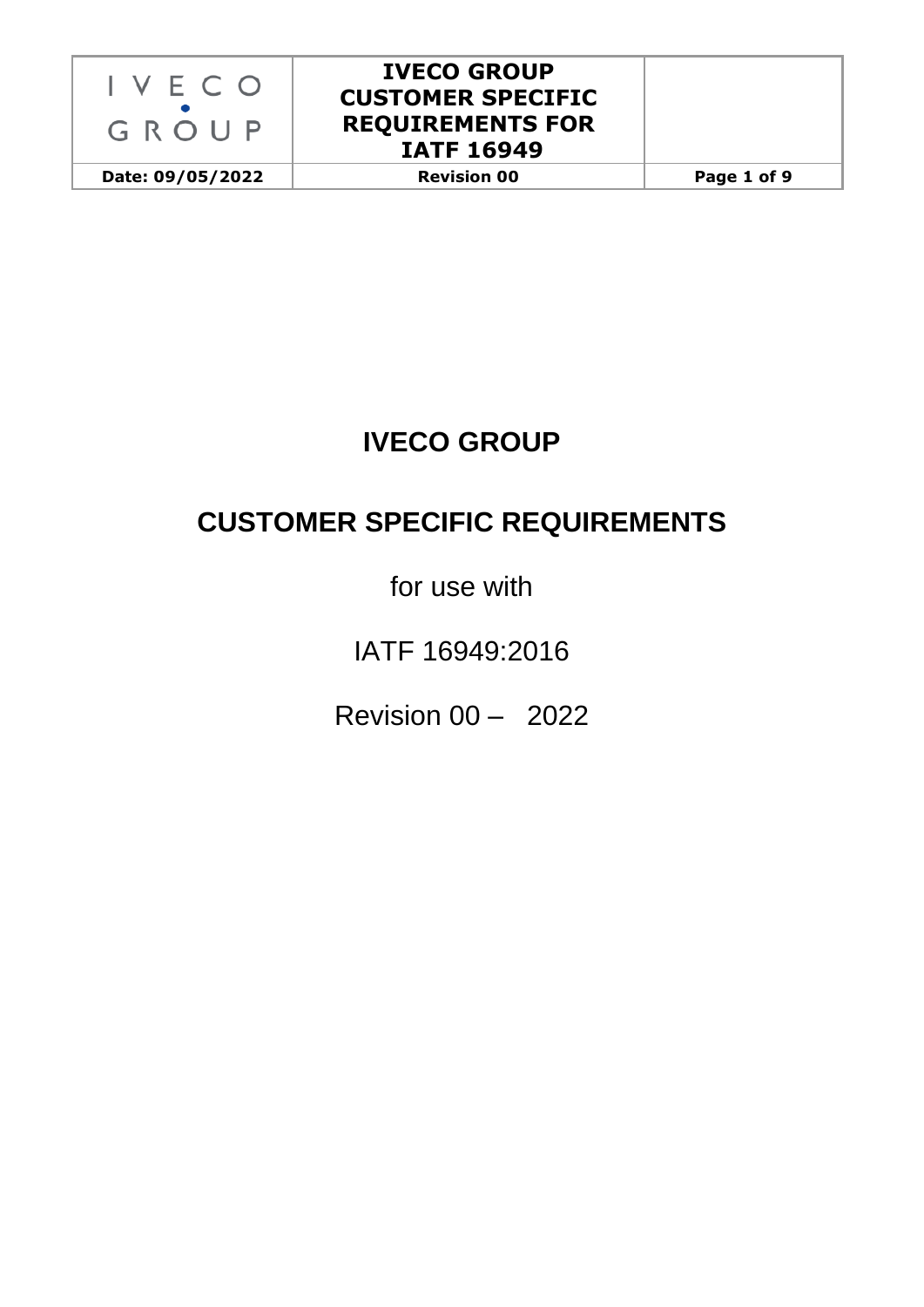

**Date: 09/05/2022 Revision 00 Page 1 of 9**

# **IVECO GROUP**

# **CUSTOMER SPECIFIC REQUIREMENTS**

for use with

IATF 16949:2016

Revision 00 – 2022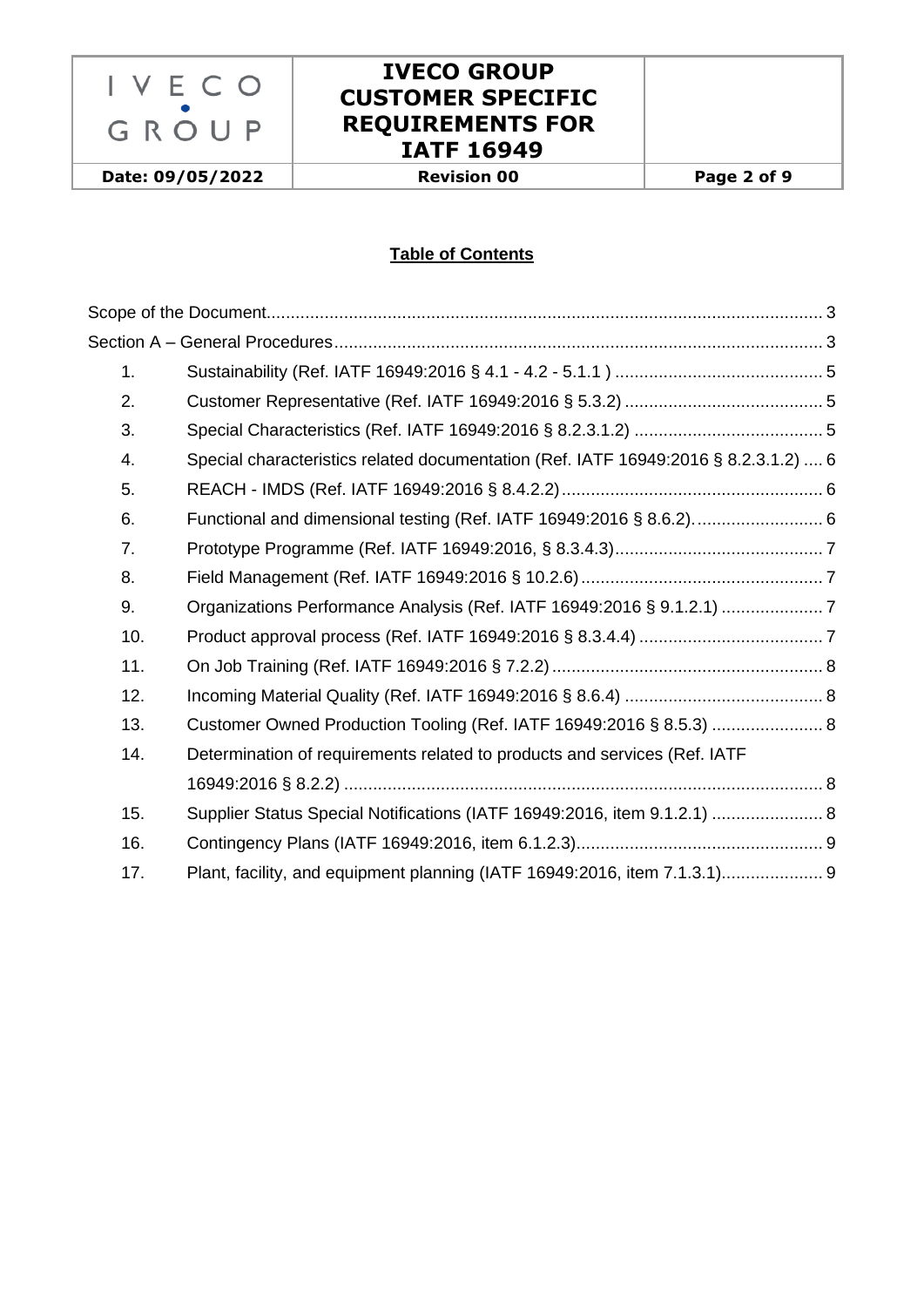

**Date: 09/05/2022 Revision 00 Page 2 of 9**

### **Table of Contents**

| 1.             |                                                                                     |  |
|----------------|-------------------------------------------------------------------------------------|--|
| 2.             |                                                                                     |  |
| 3.             |                                                                                     |  |
| 4.             | Special characteristics related documentation (Ref. IATF 16949:2016 § 8.2.3.1.2)  6 |  |
| 5.             |                                                                                     |  |
| 6.             |                                                                                     |  |
| 7 <sub>1</sub> |                                                                                     |  |
| 8.             |                                                                                     |  |
| 9.             |                                                                                     |  |
| 10.            |                                                                                     |  |
| 11.            |                                                                                     |  |
| 12.            |                                                                                     |  |
| 13.            | Customer Owned Production Tooling (Ref. IATF 16949:2016 § 8.5.3)  8                 |  |
| 14.            | Determination of requirements related to products and services (Ref. IATF           |  |
|                |                                                                                     |  |
| 15.            | Supplier Status Special Notifications (IATF 16949:2016, item 9.1.2.1)  8            |  |
| 16.            |                                                                                     |  |
| 17.            | Plant, facility, and equipment planning (IATF 16949:2016, item 7.1.3.1) 9           |  |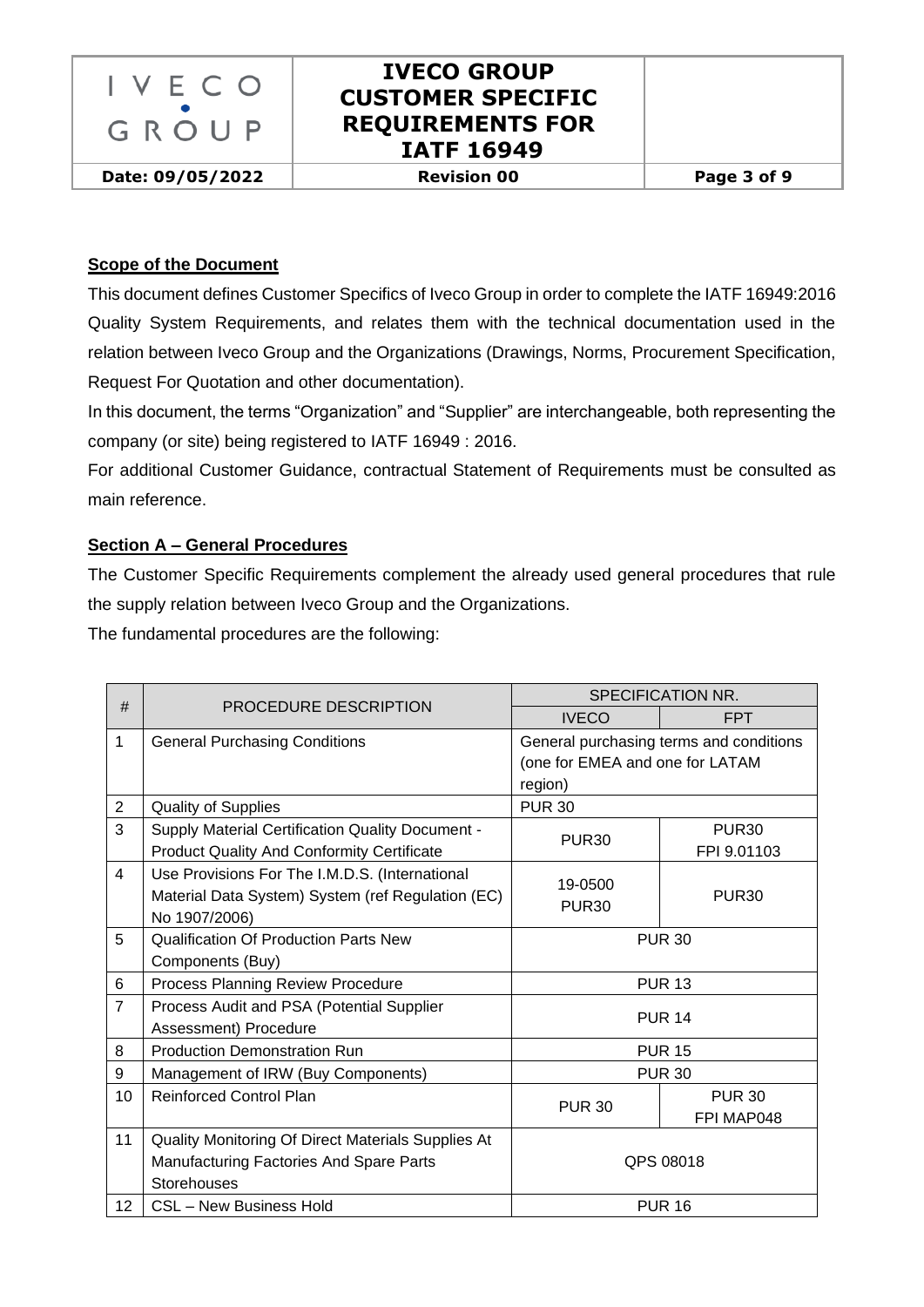

**Date: 09/05/2022 Revision 00 Page 3 of 9**

#### <span id="page-2-0"></span>**Scope of the Document**

This document defines Customer Specifics of Iveco Group in order to complete the IATF 16949:2016 Quality System Requirements, and relates them with the technical documentation used in the relation between Iveco Group and the Organizations (Drawings, Norms, Procurement Specification, Request For Quotation and other documentation).

In this document, the terms "Organization" and "Supplier" are interchangeable, both representing the company (or site) being registered to IATF 16949 : 2016.

For additional Customer Guidance, contractual Statement of Requirements must be consulted as main reference.

#### <span id="page-2-1"></span>**Section A – General Procedures**

The Customer Specific Requirements complement the already used general procedures that rule the supply relation between Iveco Group and the Organizations.

The fundamental procedures are the following:

| #              |                                                         | SPECIFICATION NR.                       |                   |  |
|----------------|---------------------------------------------------------|-----------------------------------------|-------------------|--|
|                | PROCEDURE DESCRIPTION                                   | <b>IVECO</b>                            | <b>FPT</b>        |  |
| $\mathbf{1}$   | <b>General Purchasing Conditions</b>                    | General purchasing terms and conditions |                   |  |
|                |                                                         | (one for EMEA and one for LATAM         |                   |  |
|                |                                                         | region)                                 |                   |  |
| $\overline{c}$ | <b>Quality of Supplies</b>                              | <b>PUR 30</b>                           |                   |  |
| 3              | <b>Supply Material Certification Quality Document -</b> | <b>PUR30</b>                            | <b>PUR30</b>      |  |
|                | <b>Product Quality And Conformity Certificate</b>       |                                         | FPI 9.01103       |  |
| $\overline{4}$ | Use Provisions For The I.M.D.S. (International          | 19-0500                                 |                   |  |
|                | Material Data System) System (ref Regulation (EC)       | <b>PUR30</b>                            | PUR <sub>30</sub> |  |
|                | No 1907/2006)                                           |                                         |                   |  |
| 5              | <b>Qualification Of Production Parts New</b>            | <b>PUR 30</b>                           |                   |  |
|                | Components (Buy)                                        |                                         |                   |  |
| 6              | Process Planning Review Procedure                       | <b>PUR 13</b>                           |                   |  |
| $\overline{7}$ | Process Audit and PSA (Potential Supplier               | <b>PUR 14</b>                           |                   |  |
|                | Assessment) Procedure                                   |                                         |                   |  |
| 8              | <b>Production Demonstration Run</b>                     | <b>PUR 15</b>                           |                   |  |
| 9              | Management of IRW (Buy Components)                      | <b>PUR 30</b>                           |                   |  |
| 10             | <b>Reinforced Control Plan</b>                          | <b>PUR 30</b>                           | <b>PUR 30</b>     |  |
|                |                                                         |                                         | FPI MAP048        |  |
| 11             | Quality Monitoring Of Direct Materials Supplies At      |                                         |                   |  |
|                | Manufacturing Factories And Spare Parts                 | QPS 08018                               |                   |  |
|                | Storehouses                                             |                                         |                   |  |
| 12             | <b>CSL - New Business Hold</b>                          | <b>PUR 16</b>                           |                   |  |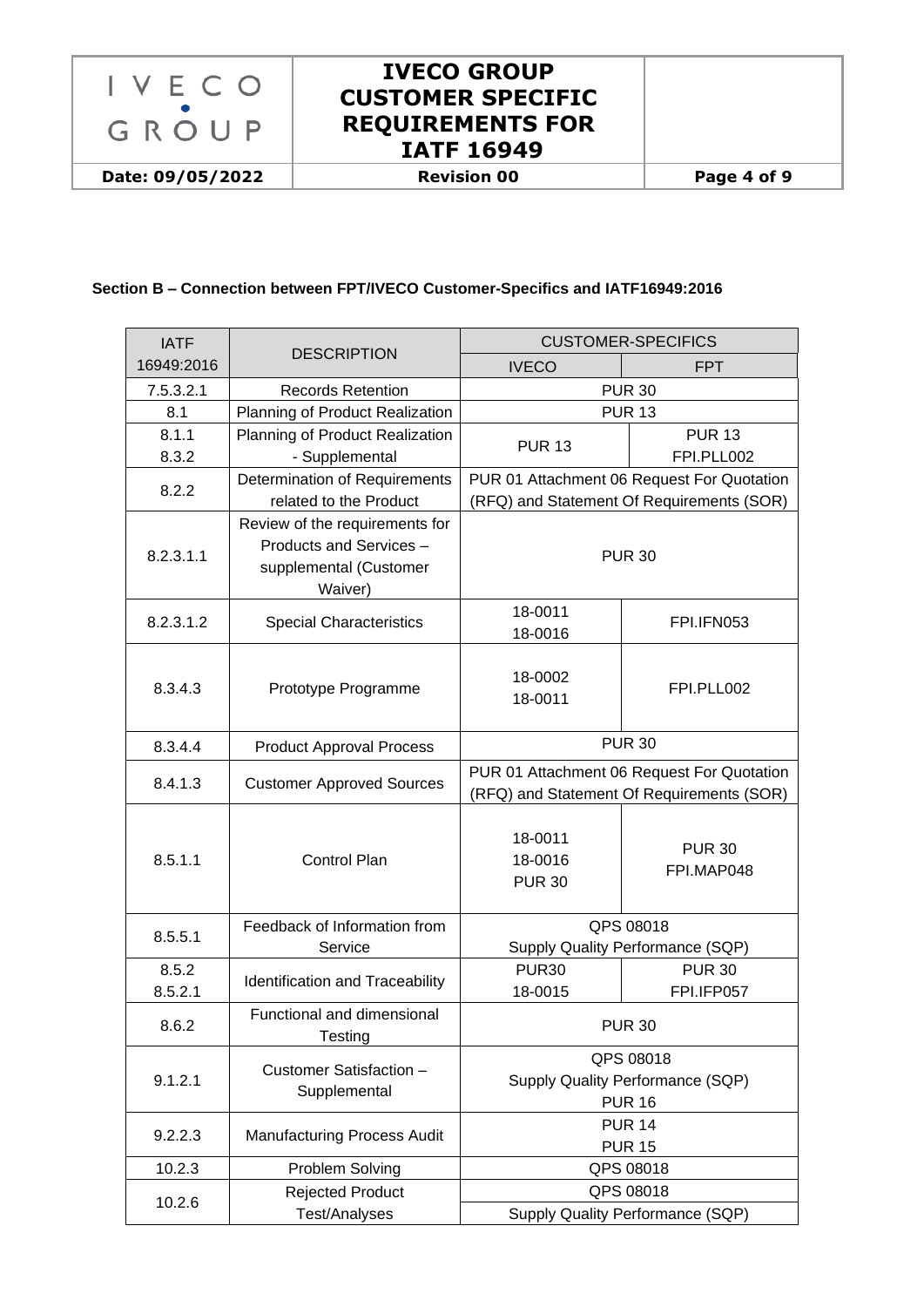

#### **Section B – Connection between FPT/IVECO Customer-Specifics and IATF16949:2016**

| <b>IATF</b>      | <b>DESCRIPTION</b>                                                                             | <b>CUSTOMER-SPECIFICS</b>                                                               |                             |  |
|------------------|------------------------------------------------------------------------------------------------|-----------------------------------------------------------------------------------------|-----------------------------|--|
| 16949:2016       |                                                                                                | <b>IVECO</b>                                                                            | <b>FPT</b>                  |  |
| 7.5.3.2.1        | <b>Records Retention</b>                                                                       |                                                                                         | <b>PUR 30</b>               |  |
| 8.1              | Planning of Product Realization                                                                | <b>PUR 13</b>                                                                           |                             |  |
| 8.1.1            | Planning of Product Realization                                                                |                                                                                         | <b>PUR 13</b>               |  |
| 8.3.2            | - Supplemental                                                                                 | <b>PUR 13</b>                                                                           | FPI.PLL002                  |  |
|                  | Determination of Requirements                                                                  | PUR 01 Attachment 06 Request For Quotation                                              |                             |  |
| 8.2.2            | related to the Product                                                                         | (RFQ) and Statement Of Requirements (SOR)                                               |                             |  |
| 8.2.3.1.1        | Review of the requirements for<br>Products and Services -<br>supplemental (Customer<br>Waiver) | <b>PUR 30</b>                                                                           |                             |  |
| 8.2.3.1.2        | <b>Special Characteristics</b>                                                                 | 18-0011<br>18-0016                                                                      | FPI.IFN053                  |  |
| 8.3.4.3          | Prototype Programme                                                                            | 18-0002<br>18-0011                                                                      | FPI.PLL002                  |  |
| 8.3.4.4          | <b>Product Approval Process</b>                                                                | <b>PUR 30</b>                                                                           |                             |  |
| 8.4.1.3          | <b>Customer Approved Sources</b>                                                               | PUR 01 Attachment 06 Request For Quotation<br>(RFQ) and Statement Of Requirements (SOR) |                             |  |
| 8.5.1.1          | <b>Control Plan</b>                                                                            | 18-0011<br>18-0016<br><b>PUR 30</b>                                                     | <b>PUR 30</b><br>FPI.MAP048 |  |
| 8.5.5.1          | Feedback of Information from<br>Service                                                        | QPS 08018<br>Supply Quality Performance (SQP)                                           |                             |  |
| 8.5.2<br>8.5.2.1 | Identification and Traceability                                                                | <b>PUR30</b><br>18-0015                                                                 | <b>PUR 30</b><br>FPI.IFP057 |  |
| 8.6.2            | Functional and dimensional<br>Testing                                                          | <b>PUR 30</b>                                                                           |                             |  |
| 9.1.2.1          | Customer Satisfaction -<br>Supplemental                                                        | QPS 08018<br>Supply Quality Performance (SQP)<br><b>PUR 16</b>                          |                             |  |
| 9.2.2.3          | <b>Manufacturing Process Audit</b>                                                             | <b>PUR 14</b><br><b>PUR 15</b>                                                          |                             |  |
| 10.2.3           | Problem Solving                                                                                | QPS 08018                                                                               |                             |  |
| 10.2.6           | <b>Rejected Product</b>                                                                        | QPS 08018                                                                               |                             |  |
|                  | <b>Test/Analyses</b>                                                                           | Supply Quality Performance (SQP)                                                        |                             |  |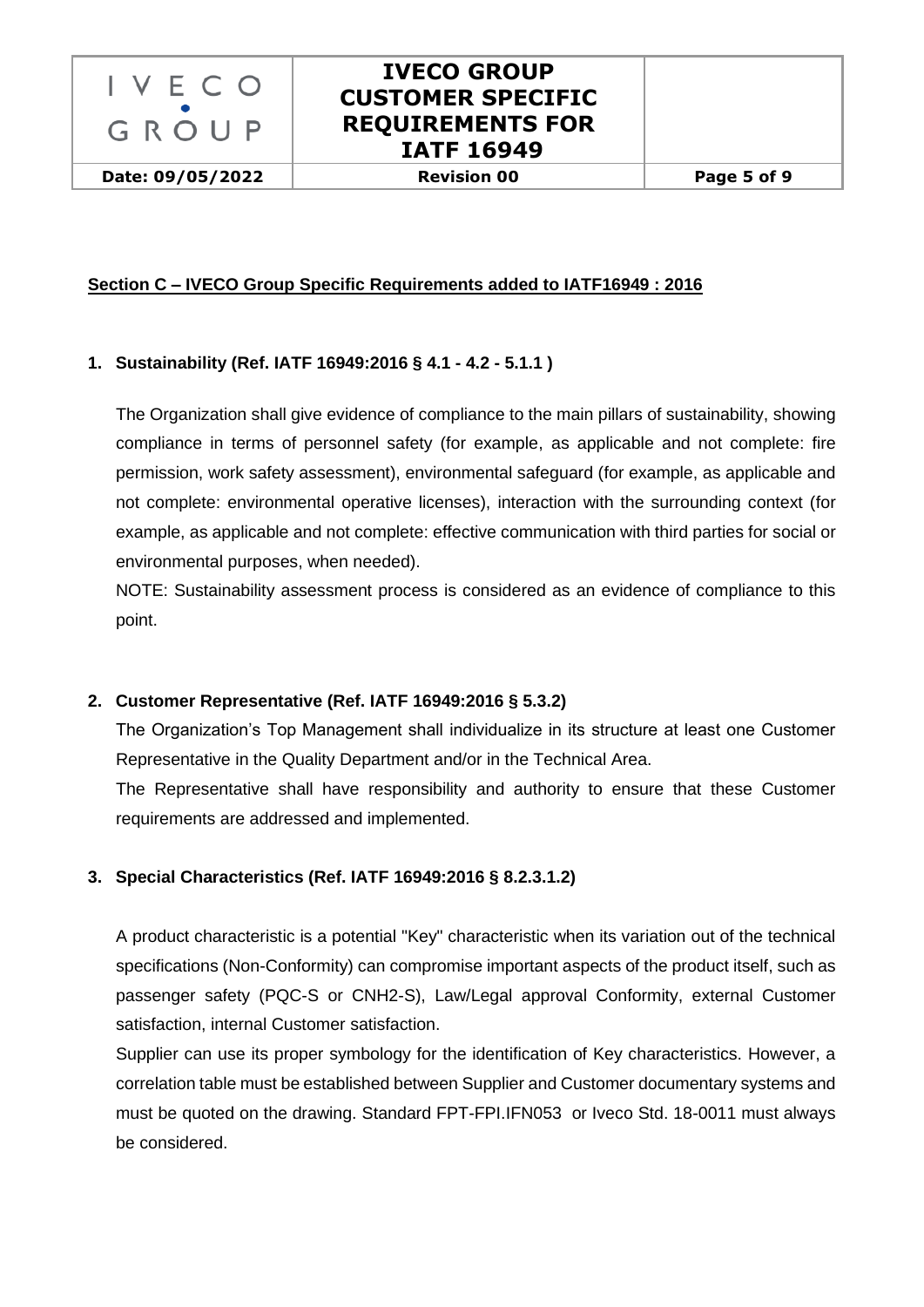

**Date: 09/05/2022 Revision 00 Page 5 of 9**

### **Section C – IVECO Group Specific Requirements added to IATF16949 : 2016**

### <span id="page-4-0"></span>**1. Sustainability (Ref. IATF 16949:2016 § 4.1 - 4.2 - 5.1.1 )**

The Organization shall give evidence of compliance to the main pillars of sustainability, showing compliance in terms of personnel safety (for example, as applicable and not complete: fire permission, work safety assessment), environmental safeguard (for example, as applicable and not complete: environmental operative licenses), interaction with the surrounding context (for example, as applicable and not complete: effective communication with third parties for social or environmental purposes, when needed).

NOTE: Sustainability assessment process is considered as an evidence of compliance to this point.

### <span id="page-4-1"></span>**2. Customer Representative (Ref. IATF 16949:2016 § 5.3.2)**

The Organization's Top Management shall individualize in its structure at least one Customer Representative in the Quality Department and/or in the Technical Area.

The Representative shall have responsibility and authority to ensure that these Customer requirements are addressed and implemented.

### <span id="page-4-2"></span>**3. Special Characteristics (Ref. IATF 16949:2016 § 8.2.3.1.2)**

A product characteristic is a potential "Key" characteristic when its variation out of the technical specifications (Non-Conformity) can compromise important aspects of the product itself, such as passenger safety (PQC-S or CNH2-S), Law/Legal approval Conformity, external Customer satisfaction, internal Customer satisfaction.

Supplier can use its proper symbology for the identification of Key characteristics. However, a correlation table must be established between Supplier and Customer documentary systems and must be quoted on the drawing. Standard FPT-FPI.IFN053 or Iveco Std. 18-0011 must always be considered.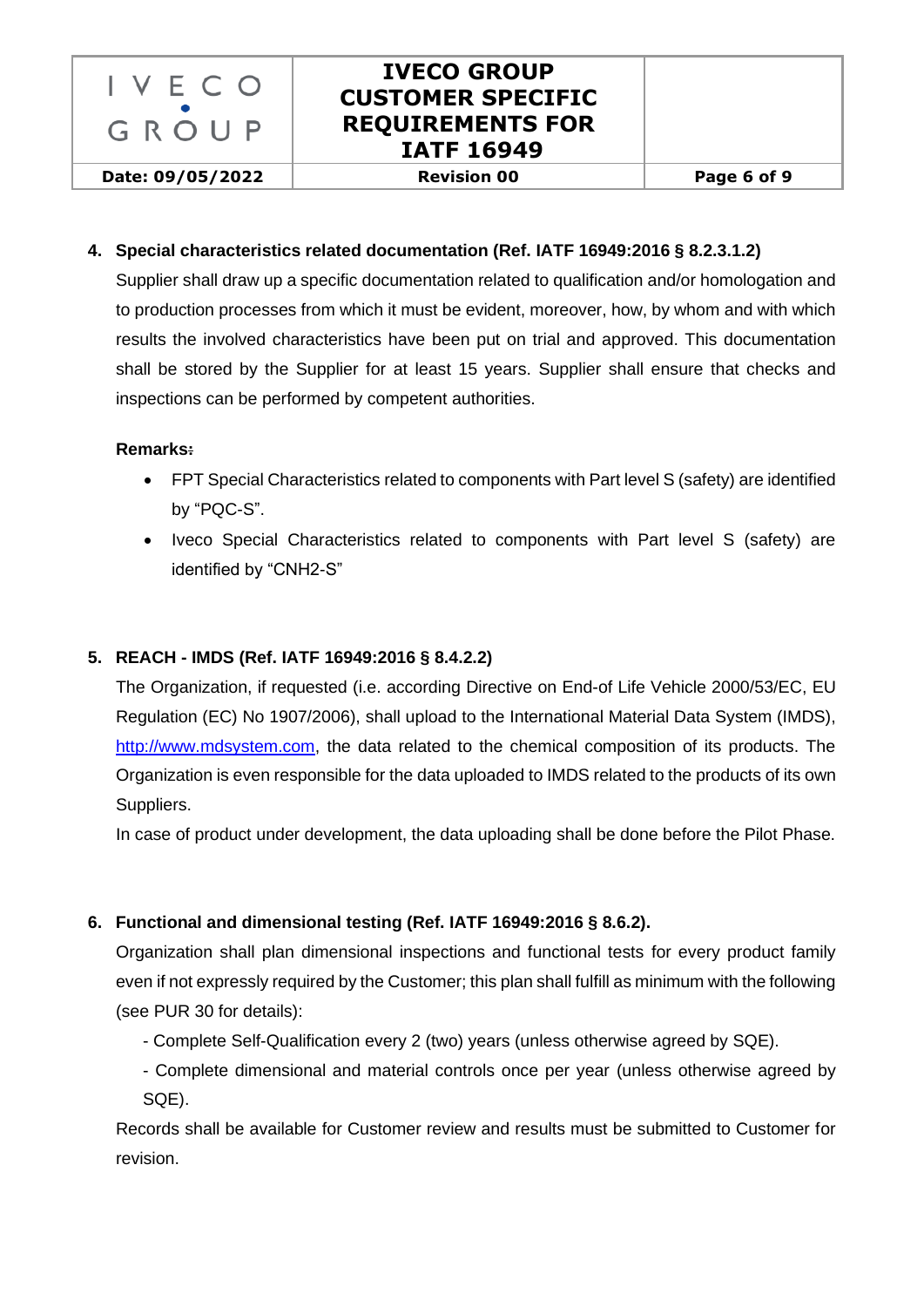

#### <span id="page-5-0"></span>**4. Special characteristics related documentation (Ref. IATF 16949:2016 § 8.2.3.1.2)**

Supplier shall draw up a specific documentation related to qualification and/or homologation and to production processes from which it must be evident, moreover, how, by whom and with which results the involved characteristics have been put on trial and approved. This documentation shall be stored by the Supplier for at least 15 years. Supplier shall ensure that checks and inspections can be performed by competent authorities.

#### **Remarks:**

- FPT Special Characteristics related to components with Part level S (safety) are identified by "PQC-S".
- Iveco Special Characteristics related to components with Part level S (safety) are identified by "CNH2-S"

#### <span id="page-5-1"></span>**5. REACH - IMDS (Ref. IATF 16949:2016 § 8.4.2.2)**

The Organization, if requested (i.e. according [Directive on End-of Life Vehicle 2000/53/EC,](http://eur-lex.europa.eu/LexUriServ/LexUriServ.do?uri=CONSLEG:2000L0053:20050701:EN:PDF) EU Regulation (EC) No 1907/2006), shall upload to the International Material Data System (IMDS), [http://www.mdsystem.com,](http://www.mdsystem.com/) the data related to the chemical composition of its products. The Organization is even responsible for the data uploaded to IMDS related to the products of its own Suppliers.

In case of product under development, the data uploading shall be done before the Pilot Phase.

### <span id="page-5-2"></span>**6. Functional and dimensional testing (Ref. IATF 16949:2016 § 8.6.2).**

Organization shall plan dimensional inspections and functional tests for every product family even if not expressly required by the Customer; this plan shall fulfill as minimum with the following (see PUR 30 for details):

- Complete Self-Qualification every 2 (two) years (unless otherwise agreed by SQE).
- Complete dimensional and material controls once per year (unless otherwise agreed by SQE).

Records shall be available for Customer review and results must be submitted to Customer for revision.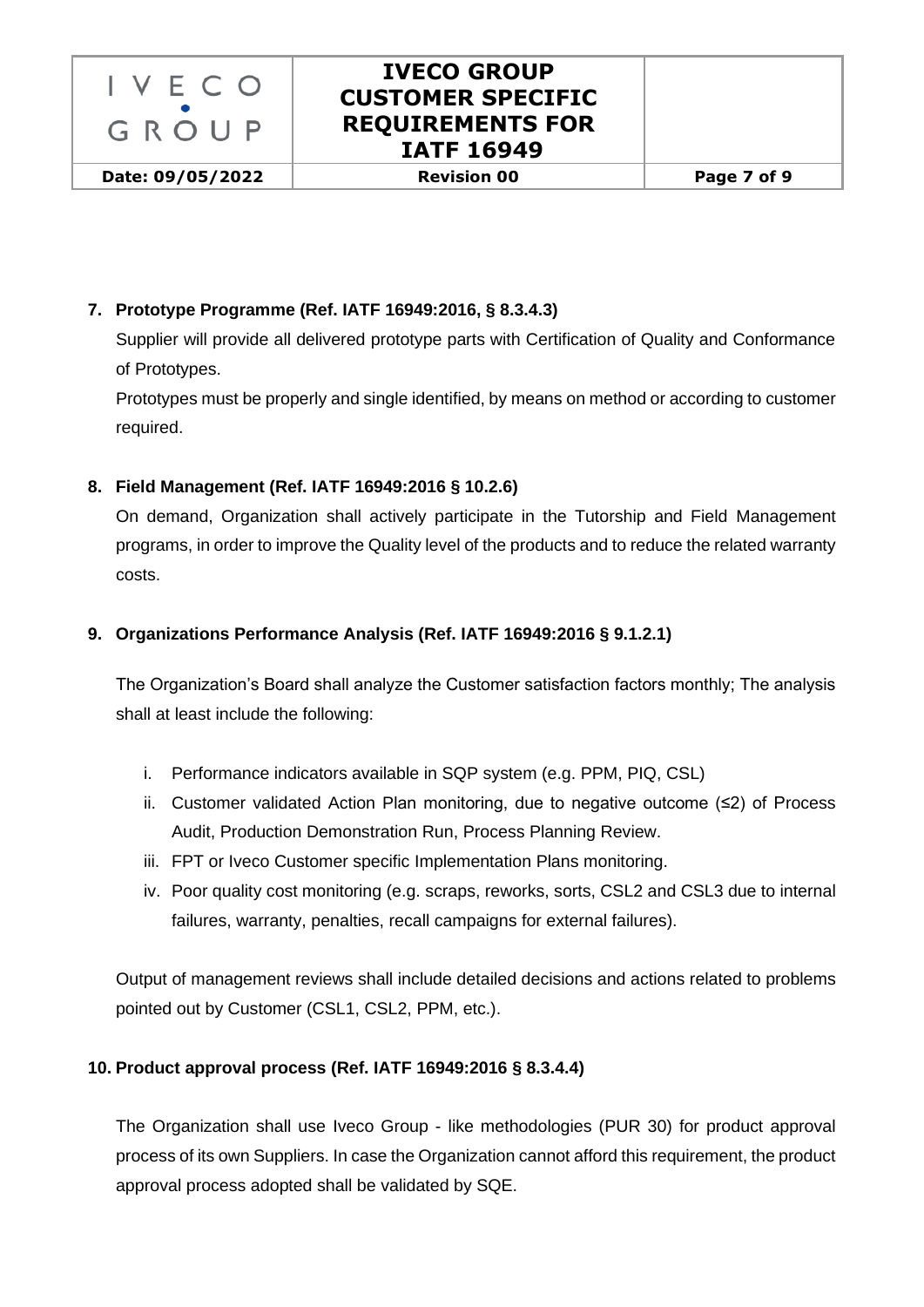

### <span id="page-6-0"></span>**7. Prototype Programme (Ref. IATF 16949:2016, § 8.3.4.3)**

Supplier will provide all delivered prototype parts with Certification of Quality and Conformance of Prototypes.

Prototypes must be properly and single identified, by means on method or according to customer required.

#### <span id="page-6-1"></span>**8. Field Management (Ref. IATF 16949:2016 § 10.2.6)**

On demand, Organization shall actively participate in the Tutorship and Field Management programs, in order to improve the Quality level of the products and to reduce the related warranty costs.

#### <span id="page-6-2"></span>**9. Organizations Performance Analysis (Ref. IATF 16949:2016 § 9.1.2.1)**

The Organization's Board shall analyze the Customer satisfaction factors monthly; The analysis shall at least include the following:

- i. Performance indicators available in SQP system (e.g. PPM, PIQ, CSL)
- ii. Customer validated Action Plan monitoring, due to negative outcome (≤2) of Process Audit, Production Demonstration Run, Process Planning Review.
- iii. FPT or Iveco Customer specific Implementation Plans monitoring.
- iv. Poor quality cost monitoring (e.g. scraps, reworks, sorts, CSL2 and CSL3 due to internal failures, warranty, penalties, recall campaigns for external failures).

Output of management reviews shall include detailed decisions and actions related to problems pointed out by Customer (CSL1, CSL2, PPM, etc.).

#### <span id="page-6-3"></span>**10. Product approval process (Ref. IATF 16949:2016 § 8.3.4.4)**

The Organization shall use Iveco Group - like methodologies (PUR 30) for product approval process of its own Suppliers. In case the Organization cannot afford this requirement, the product approval process adopted shall be validated by SQE.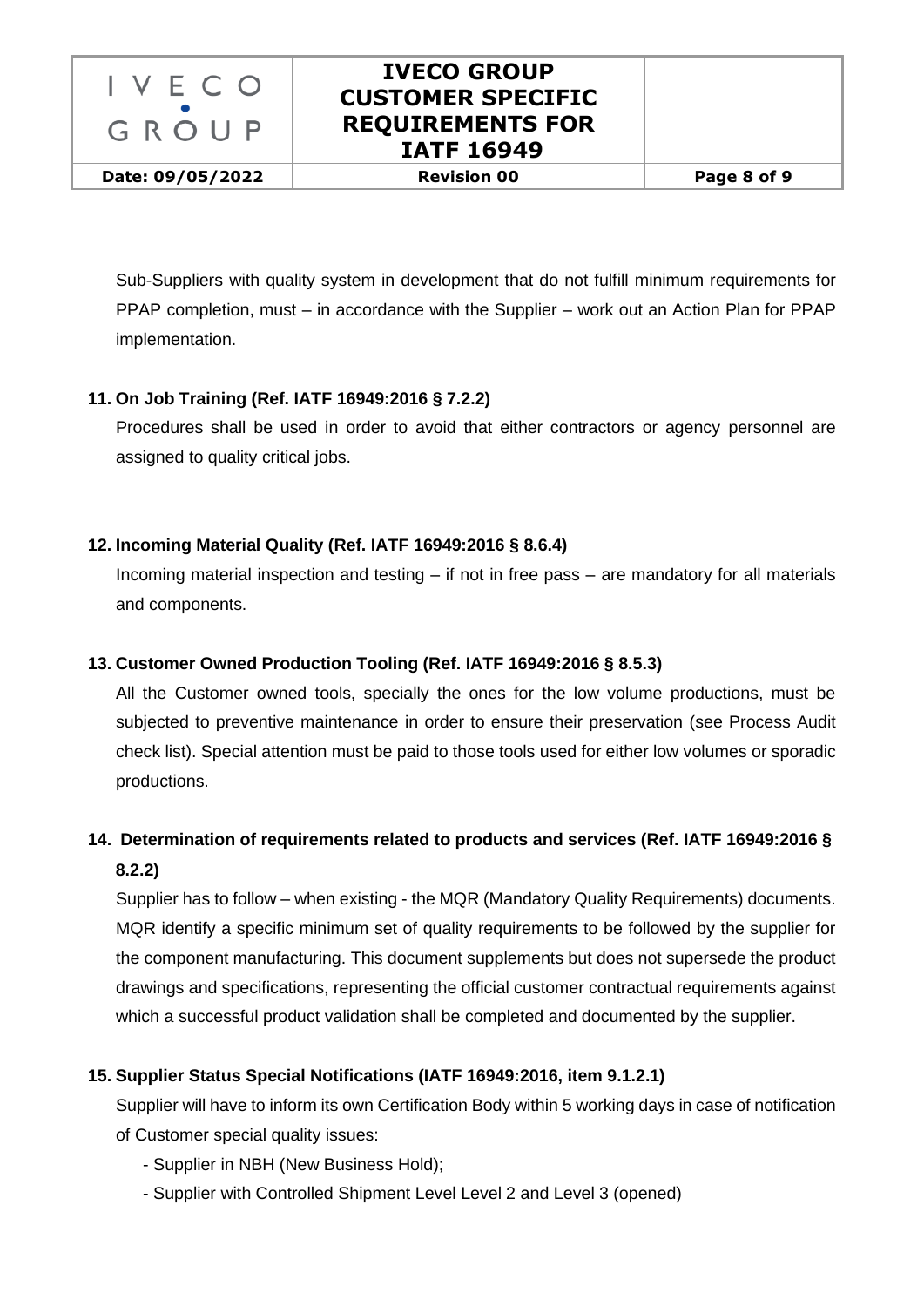

**Date: 09/05/2022 Revision 00 Page 8 of 9**

Sub-Suppliers with quality system in development that do not fulfill minimum requirements for PPAP completion, must – in accordance with the Supplier – work out an Action Plan for PPAP implementation.

### <span id="page-7-0"></span>**11. On Job Training (Ref. IATF 16949:2016 § 7.2.2)**

Procedures shall be used in order to avoid that either contractors or agency personnel are assigned to quality critical jobs.

#### <span id="page-7-1"></span>**12. Incoming Material Quality (Ref. IATF 16949:2016 § 8.6.4)**

Incoming material inspection and testing – if not in free pass – are mandatory for all materials and components.

#### <span id="page-7-2"></span>**13. Customer Owned Production Tooling (Ref. IATF 16949:2016 § 8.5.3)**

All the Customer owned tools, specially the ones for the low volume productions, must be subjected to preventive maintenance in order to ensure their preservation (see Process Audit check list). Special attention must be paid to those tools used for either low volumes or sporadic productions.

## <span id="page-7-3"></span>**14. Determination of requirements related to products and services (Ref. IATF 16949:2016 § 8.2.2)**

Supplier has to follow – when existing - the MQR (Mandatory Quality Requirements) documents. MQR identify a specific minimum set of quality requirements to be followed by the supplier for the component manufacturing. This document supplements but does not supersede the product drawings and specifications, representing the official customer contractual requirements against which a successful product validation shall be completed and documented by the supplier.

### <span id="page-7-4"></span>**15. Supplier Status Special Notifications (IATF 16949:2016, item 9.1.2.1)**

Supplier will have to inform its own Certification Body within 5 working days in case of notification of Customer special quality issues:

- Supplier in NBH (New Business Hold);
- Supplier with Controlled Shipment Level Level 2 and Level 3 (opened)